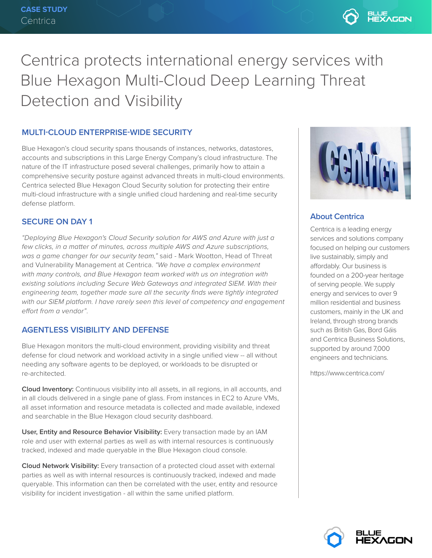

# Centrica protects international energy services with Blue Hexagon Multi-Cloud Deep Learning Threat Detection and Visibility

## **MULTI-CLOUD ENTERPRISE-WIDE SECURITY**

Blue Hexagon's cloud security spans thousands of instances, networks, datastores, accounts and subscriptions in this Large Energy Company's cloud infrastructure. The nature of the IT infrastructure posed several challenges, primarily how to attain a comprehensive security posture against advanced threats in multi-cloud environments. Centrica selected Blue Hexagon Cloud Security solution for protecting their entire multi-cloud infrastructure with a single unified cloud hardening and real-time security defense platform.

## **SECURE ON DAY 1**

*"Deploying Blue Hexagon's Cloud Security solution for AWS and Azure with just a*  few clicks, in a matter of minutes, across multiple AWS and Azure subscriptions, *was a game changer for our security team,"* said - Mark Wootton, Head of Threat and Vulnerability Management at Centrica. *"We have a complex environment with many controls, and Blue Hexagon team worked with us on integration with existing solutions including Secure Web Gateways and integrated SIEM. With their engineering team, together made sure all the security finds were tightly integrated*  with our SIEM platform. I have rarely seen this level of competency and engagement *effort from a vendor"*.

## **AGENTLESS VISIBILITY AND DEFENSE**

Blue Hexagon monitors the multi-cloud environment, providing visibility and threat defense for cloud network and workload activity in a single unified view -- all without needing any software agents to be deployed, or workloads to be disrupted or re-architected.

**Cloud Inventory:** Continuous visibility into all assets, in all regions, in all accounts, and in all clouds delivered in a single pane of glass. From instances in EC2 to Azure VMs, all asset information and resource metadata is collected and made available, indexed and searchable in the Blue Hexagon cloud security dashboard.

**User, Entity and Resource Behavior Visibility:** Every transaction made by an IAM role and user with external parties as well as with internal resources is continuously tracked, indexed and made queryable in the Blue Hexagon cloud console.

**Cloud Network Visibility:** Every transaction of a protected cloud asset with external parties as well as with internal resources is continuously tracked, indexed and made queryable. This information can then be correlated with the user, entity and resource visibility for incident investigation - all within the same unified platform.



## **About Centrica**

Centrica is a leading energy services and solutions company focused on helping our customers live sustainably, simply and affordably. Our business is founded on a 200-year heritage of serving people. We supply energy and services to over 9 million residential and business customers, mainly in the UK and Ireland, through strong brands such as British Gas, Bord Gáis and Centrica Business Solutions, supported by around 7,000 engineers and technicians.

[https://www.centrica.com/](https://www.centrica.com)